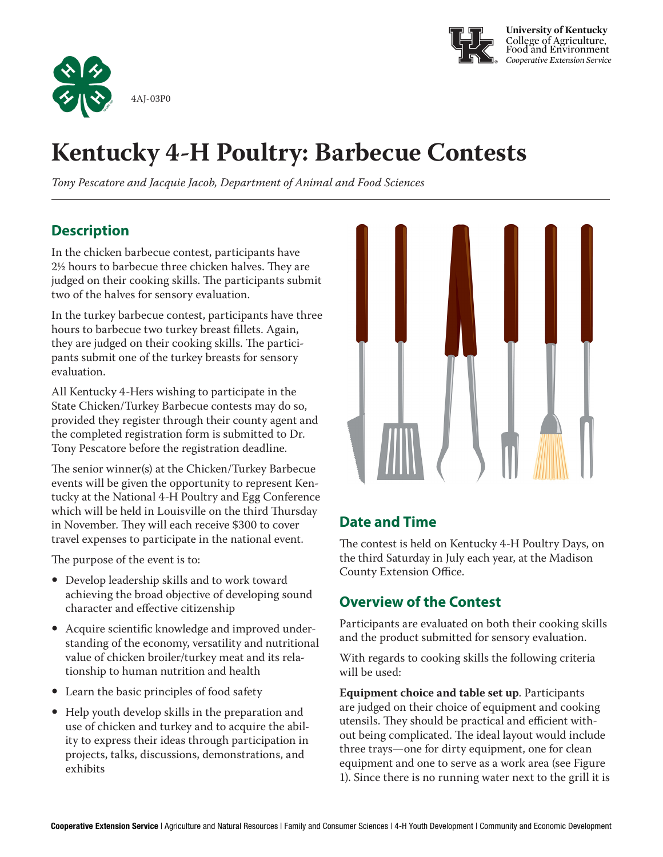



# **Kentucky 4-H Poultry: Barbecue Contests**

*Tony Pescatore and Jacquie Jacob, Department of Animal and Food Sciences*

### **Description**

In the chicken barbecue contest, participants have 2½ hours to barbecue three chicken halves. They are judged on their cooking skills. The participants submit two of the halves for sensory evaluation.

In the turkey barbecue contest, participants have three hours to barbecue two turkey breast fillets. Again, they are judged on their cooking skills. The participants submit one of the turkey breasts for sensory evaluation.

All Kentucky 4-Hers wishing to participate in the State Chicken/Turkey Barbecue contests may do so, provided they register through their county agent and the completed registration form is submitted to Dr. Tony Pescatore before the registration deadline.

The senior winner(s) at the Chicken/Turkey Barbecue events will be given the opportunity to represent Kentucky at the National 4-H Poultry and Egg Conference which will be held in Louisville on the third Thursday in November. They will each receive \$300 to cover travel expenses to participate in the national event.

The purpose of the event is to:

- Develop leadership skills and to work toward achieving the broad objective of developing sound character and effective citizenship
- Acquire scientific knowledge and improved understanding of the economy, versatility and nutritional value of chicken broiler/turkey meat and its relationship to human nutrition and health
- Learn the basic principles of food safety
- Help youth develop skills in the preparation and use of chicken and turkey and to acquire the ability to express their ideas through participation in projects, talks, discussions, demonstrations, and exhibits



### **Date and Time**

The contest is held on Kentucky 4-H Poultry Days, on the third Saturday in July each year, at the Madison County Extension Office.

### **Overview of the Contest**

Participants are evaluated on both their cooking skills and the product submitted for sensory evaluation.

With regards to cooking skills the following criteria will be used:

**Equipment choice and table set up**. Participants are judged on their choice of equipment and cooking utensils. They should be practical and efficient without being complicated. The ideal layout would include three trays—one for dirty equipment, one for clean equipment and one to serve as a work area (see Figure 1). Since there is no running water next to the grill it is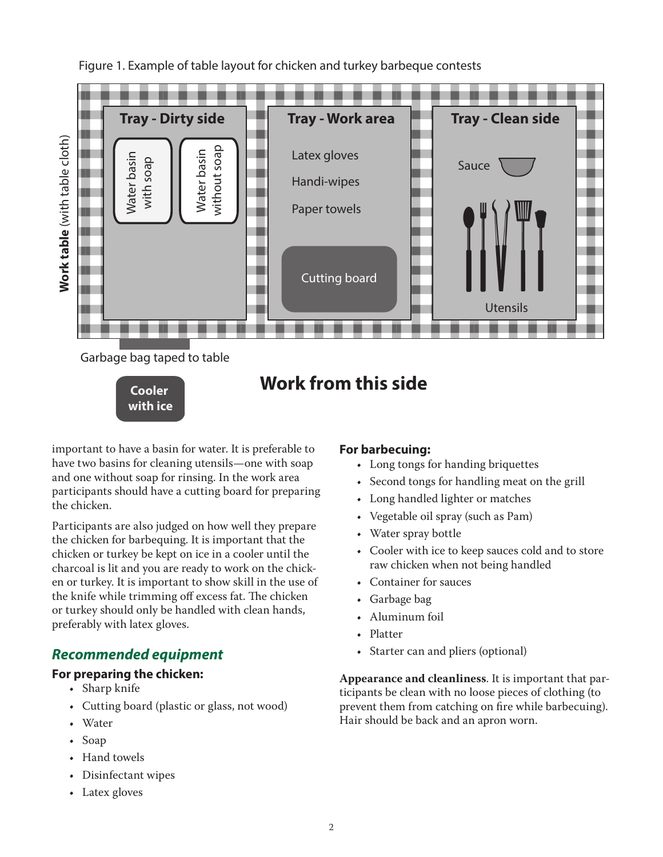



important to have a basin for water. It is preferable to have two basins for cleaning utensils—one with soap and one without soap for rinsing. In the work area participants should have a cutting board for preparing the chicken.

**with ice**

Participants are also judged on how well they prepare the chicken for barbequing. It is important that the chicken or turkey be kept on ice in a cooler until the charcoal is lit and you are ready to work on the chicken or turkey. It is important to show skill in the use of the knife while trimming off excess fat. The chicken or turkey should only be handled with clean hands, preferably with latex gloves.

#### *Recommended equipment*

#### **For preparing the chicken:**

- Sharp knife
- Cutting board (plastic or glass, not wood)
- Water
- Soap
- Hand towels
- Disinfectant wipes
- Latex gloves

#### **For barbecuing:**

- Long tongs for handing briquettes
- Second tongs for handling meat on the grill
- Long handled lighter or matches
- Vegetable oil spray (such as Pam)
- Water spray bottle
- Cooler with ice to keep sauces cold and to store raw chicken when not being handled
- Container for sauces
- Garbage bag
- Aluminum foil
- Platter
- Starter can and pliers (optional)

**Appearance and cleanliness**. It is important that participants be clean with no loose pieces of clothing (to prevent them from catching on fire while barbecuing). Hair should be back and an apron worn.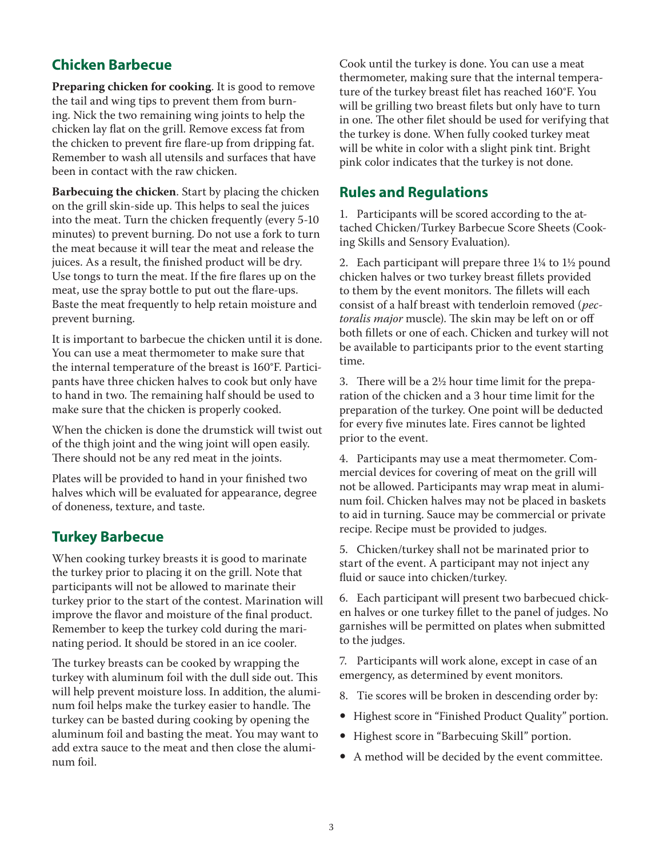#### **Chicken Barbecue**

**Preparing chicken for cooking**. It is good to remove the tail and wing tips to prevent them from burning. Nick the two remaining wing joints to help the chicken lay flat on the grill. Remove excess fat from the chicken to prevent fire flare-up from dripping fat. Remember to wash all utensils and surfaces that have been in contact with the raw chicken.

**Barbecuing the chicken**. Start by placing the chicken on the grill skin-side up. This helps to seal the juices into the meat. Turn the chicken frequently (every 5-10 minutes) to prevent burning. Do not use a fork to turn the meat because it will tear the meat and release the juices. As a result, the finished product will be dry. Use tongs to turn the meat. If the fire flares up on the meat, use the spray bottle to put out the flare-ups. Baste the meat frequently to help retain moisture and prevent burning.

It is important to barbecue the chicken until it is done. You can use a meat thermometer to make sure that the internal temperature of the breast is 160°F. Participants have three chicken halves to cook but only have to hand in two. The remaining half should be used to make sure that the chicken is properly cooked.

When the chicken is done the drumstick will twist out of the thigh joint and the wing joint will open easily. There should not be any red meat in the joints.

Plates will be provided to hand in your finished two halves which will be evaluated for appearance, degree of doneness, texture, and taste.

#### **Turkey Barbecue**

When cooking turkey breasts it is good to marinate the turkey prior to placing it on the grill. Note that participants will not be allowed to marinate their turkey prior to the start of the contest. Marination will improve the flavor and moisture of the final product. Remember to keep the turkey cold during the marinating period. It should be stored in an ice cooler.

The turkey breasts can be cooked by wrapping the turkey with aluminum foil with the dull side out. This will help prevent moisture loss. In addition, the aluminum foil helps make the turkey easier to handle. The turkey can be basted during cooking by opening the aluminum foil and basting the meat. You may want to add extra sauce to the meat and then close the aluminum foil.

Cook until the turkey is done. You can use a meat thermometer, making sure that the internal temperature of the turkey breast filet has reached 160°F. You will be grilling two breast filets but only have to turn in one. The other filet should be used for verifying that the turkey is done. When fully cooked turkey meat will be white in color with a slight pink tint. Bright pink color indicates that the turkey is not done.

#### **Rules and Regulations**

1. Participants will be scored according to the attached Chicken/Turkey Barbecue Score Sheets (Cooking Skills and Sensory Evaluation).

2. Each participant will prepare three 1¼ to 1½ pound chicken halves or two turkey breast fillets provided to them by the event monitors. The fillets will each consist of a half breast with tenderloin removed (*pectoralis major* muscle). The skin may be left on or off both fillets or one of each. Chicken and turkey will not be available to participants prior to the event starting time.

3. There will be a 2½ hour time limit for the preparation of the chicken and a 3 hour time limit for the preparation of the turkey. One point will be deducted for every five minutes late. Fires cannot be lighted prior to the event.

4. Participants may use a meat thermometer. Commercial devices for covering of meat on the grill will not be allowed. Participants may wrap meat in aluminum foil. Chicken halves may not be placed in baskets to aid in turning. Sauce may be commercial or private recipe. Recipe must be provided to judges.

5. Chicken/turkey shall not be marinated prior to start of the event. A participant may not inject any fluid or sauce into chicken/turkey.

6. Each participant will present two barbecued chicken halves or one turkey fillet to the panel of judges. No garnishes will be permitted on plates when submitted to the judges.

7. Participants will work alone, except in case of an emergency, as determined by event monitors.

- 8. Tie scores will be broken in descending order by:
- Highest score in "Finished Product Quality" portion.
- Highest score in "Barbecuing Skill" portion.
- A method will be decided by the event committee.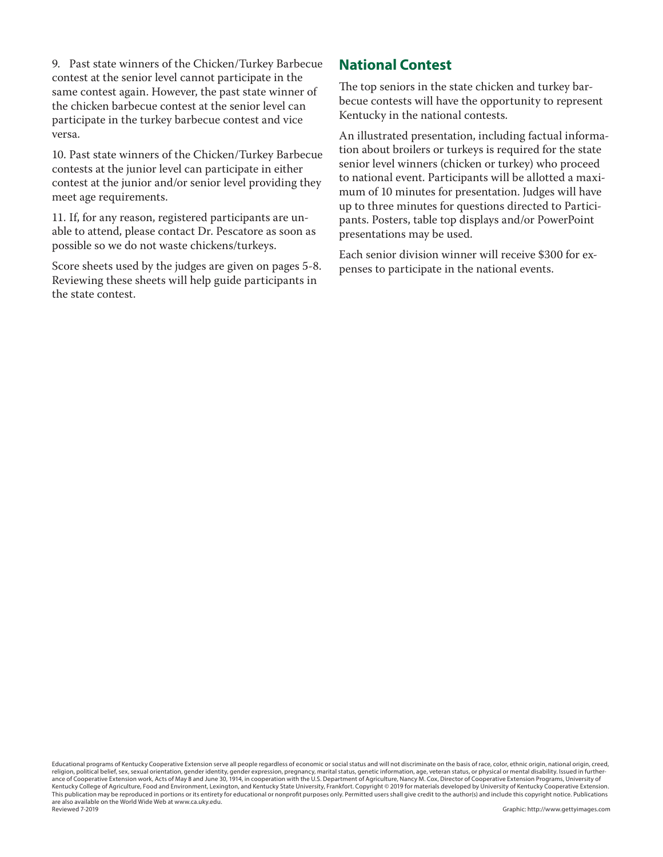9. Past state winners of the Chicken/Turkey Barbecue contest at the senior level cannot participate in the same contest again. However, the past state winner of the chicken barbecue contest at the senior level can participate in the turkey barbecue contest and vice versa.

10. Past state winners of the Chicken/Turkey Barbecue contests at the junior level can participate in either contest at the junior and/or senior level providing they meet age requirements.

11. If, for any reason, registered participants are unable to attend, please contact Dr. Pescatore as soon as possible so we do not waste chickens/turkeys.

Score sheets used by the judges are given on pages 5-8. Reviewing these sheets will help guide participants in the state contest.

#### **National Contest**

The top seniors in the state chicken and turkey barbecue contests will have the opportunity to represent Kentucky in the national contests.

An illustrated presentation, including factual information about broilers or turkeys is required for the state senior level winners (chicken or turkey) who proceed to national event. Participants will be allotted a maximum of 10 minutes for presentation. Judges will have up to three minutes for questions directed to Participants. Posters, table top displays and/or PowerPoint presentations may be used.

Each senior division winner will receive \$300 for expenses to participate in the national events.

Educational programs of Kentucky Cooperative Extension serve all people regardless of economic or social status and will not discriminate on the basis of race, color, ethnic origin, national origin, creed, religion, political belief, sex, sexual orientation, gender identity, gender expression, pregnancy, marital status, genetic information, age, veteran status, or physical or mental disability. Issued in furtherance of Cooperative Extension work, Acts of May 8 and June 30, 1914, in cooperation with the U.S. Department of Agriculture, Nancy M. Cox, Director of Cooperative Extension Programs, University of Kentucky College of Agriculture, Food and Environment, Lexington, and Kentucky State University, Frankfort. Copyright © 2019 for materials developed by University of Kentucky Cooperative Extension. This publication may be reproduced in portions or its entirety for educational or nonprofit purposes only. Permitted users shall give credit to the author(s) and include this copyright notice. Publications are also available on the World Wide Web at www.ca.uky.edu. Reviewed 7-2019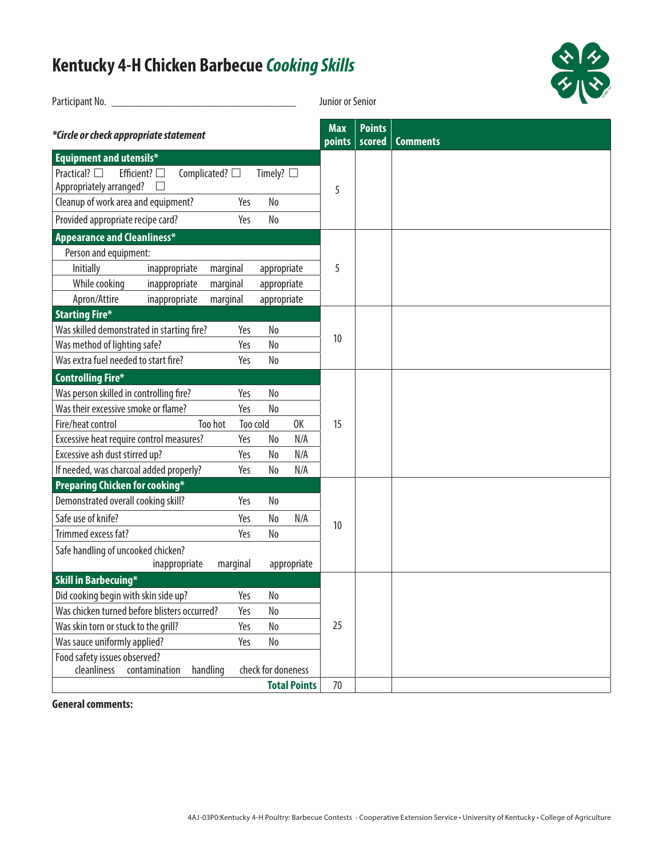## **Kentucky 4-H Chicken Barbecue** *Cooking Skills*

| Participant No.                                                                                                                  | Junior or Senior          |                         |                 |
|----------------------------------------------------------------------------------------------------------------------------------|---------------------------|-------------------------|-----------------|
| *Circle or check appropriate statement                                                                                           | <b>Max</b><br>points      | <b>Points</b><br>scored | <b>Comments</b> |
| Equipment and utensils*                                                                                                          |                           |                         |                 |
| Practical? $\square$<br>Efficient? $\square$<br>Complicated? $\square$<br>Timely? $\square$<br>Appropriately arranged?<br>$\Box$ | 5                         |                         |                 |
| Cleanup of work area and equipment?<br>No<br>Yes                                                                                 |                           |                         |                 |
| Provided appropriate recipe card?<br>Yes<br>No                                                                                   |                           |                         |                 |
| <b>Appearance and Cleanliness*</b>                                                                                               |                           |                         |                 |
| Person and equipment:                                                                                                            |                           |                         |                 |
| Initially<br>inappropriate<br>marginal<br>appropriate                                                                            | 5                         |                         |                 |
| While cooking<br>inappropriate<br>marginal<br>appropriate                                                                        |                           |                         |                 |
| Apron/Attire<br>inappropriate<br>marginal<br>appropriate                                                                         |                           |                         |                 |
| <b>Starting Fire*</b>                                                                                                            |                           |                         |                 |
| Was skilled demonstrated in starting fire?<br>Yes<br>No                                                                          | 10                        |                         |                 |
| Was method of lighting safe?<br>Yes<br>No                                                                                        |                           |                         |                 |
| Was extra fuel needed to start fire?<br>Yes<br>No                                                                                |                           |                         |                 |
| <b>Controlling Fire*</b>                                                                                                         |                           |                         |                 |
| Was person skilled in controlling fire?<br>No<br>Yes                                                                             |                           |                         |                 |
| Was their excessive smoke or flame?<br>Yes<br>No                                                                                 |                           |                         |                 |
| Fire/heat control<br>Too hot<br>Too cold                                                                                         | 0K<br>15                  |                         |                 |
| Excessive heat require control measures?<br>Yes<br>No                                                                            | N/A                       |                         |                 |
| Excessive ash dust stirred up?<br>Yes<br>No                                                                                      | N/A                       |                         |                 |
| If needed, was charcoal added properly?<br>Yes<br>No                                                                             | N/A                       |                         |                 |
| <b>Preparing Chicken for cooking*</b>                                                                                            |                           |                         |                 |
| Demonstrated overall cooking skill?<br>No<br>Yes                                                                                 |                           |                         |                 |
| Safe use of knife?<br>Yes<br>No                                                                                                  | N/A<br>10                 |                         |                 |
| Trimmed excess fat?<br>Yes<br>No                                                                                                 |                           |                         |                 |
| Safe handling of uncooked chicken?                                                                                               |                           |                         |                 |
| inappropriate<br>marginal                                                                                                        | appropriate               |                         |                 |
| <b>Skill in Barbecuing*</b>                                                                                                      |                           |                         |                 |
| Did cooking begin with skin side up?<br>Yes<br>No                                                                                |                           |                         |                 |
| Was chicken turned before blisters occurred?<br>No<br>Yes                                                                        |                           |                         |                 |
| Was skin torn or stuck to the grill?<br>Yes<br>No                                                                                | 25                        |                         |                 |
| Was sauce uniformly applied?<br>Yes<br>No                                                                                        |                           |                         |                 |
| Food safety issues observed?<br>cleanliness<br>contamination<br>handling<br>check for doneness                                   |                           |                         |                 |
|                                                                                                                                  | <b>Total Points</b><br>70 |                         |                 |
|                                                                                                                                  |                           |                         |                 |

\* \*

**General comments:**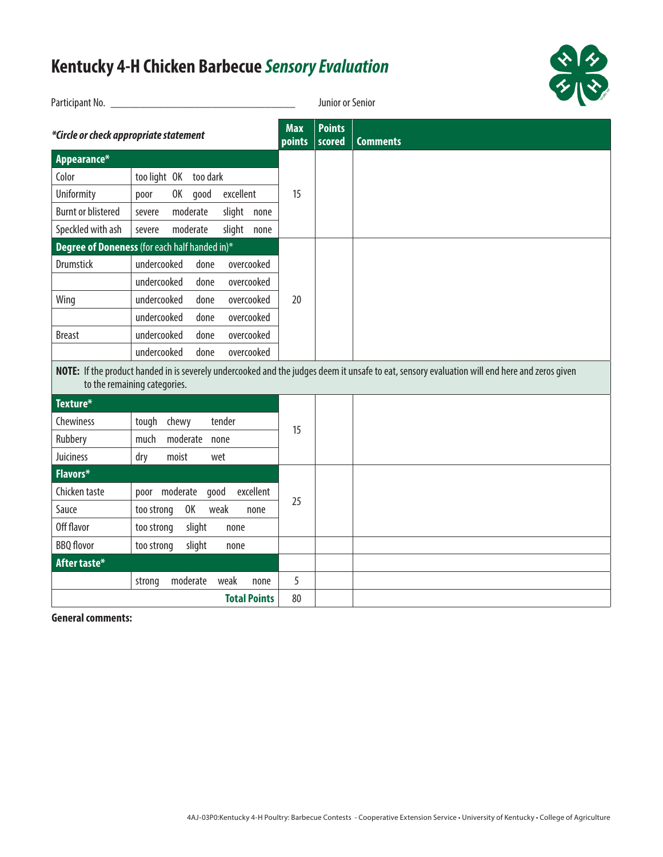## **Kentucky 4-H Chicken Barbecue** *Sensory Evaluation*

| Participant No. _                      |                                               |                      | Junior or Senior        |                                                                                                                                               |
|----------------------------------------|-----------------------------------------------|----------------------|-------------------------|-----------------------------------------------------------------------------------------------------------------------------------------------|
| *Circle or check appropriate statement |                                               | <b>Max</b><br>points | <b>Points</b><br>scored | <b>Comments</b>                                                                                                                               |
| Appearance*                            |                                               |                      |                         |                                                                                                                                               |
| Color                                  | too light OK too dark                         |                      |                         |                                                                                                                                               |
| Uniformity                             | excellent<br>OK .<br>good<br>poor             | 15                   |                         |                                                                                                                                               |
| <b>Burnt or blistered</b>              | moderate<br>slight none<br>severe             |                      |                         |                                                                                                                                               |
| Speckled with ash                      | slight none<br>moderate<br>severe             |                      |                         |                                                                                                                                               |
|                                        | Degree of Doneness (for each half handed in)* |                      |                         |                                                                                                                                               |
| Drumstick                              | undercooked<br>done<br>overcooked             |                      |                         |                                                                                                                                               |
|                                        | undercooked<br>done<br>overcooked             |                      |                         |                                                                                                                                               |
| Wing                                   | undercooked<br>overcooked<br>done             | 20                   |                         |                                                                                                                                               |
|                                        | undercooked<br>overcooked<br>done             |                      |                         |                                                                                                                                               |
| <b>Breast</b>                          | undercooked<br>done<br>overcooked             |                      |                         |                                                                                                                                               |
|                                        | undercooked<br>overcooked<br>done             |                      |                         |                                                                                                                                               |
|                                        | to the remaining categories.                  |                      |                         | NOTE: If the product handed in is severely undercooked and the judges deem it unsafe to eat, sensory evaluation will end here and zeros given |
| Texture*                               |                                               |                      |                         |                                                                                                                                               |
| Chewiness                              | tough chewy<br>tender                         | 15                   |                         |                                                                                                                                               |
| Rubbery                                | moderate<br>much<br>none                      |                      |                         |                                                                                                                                               |
| Juiciness                              | moist<br>dry<br>wet                           |                      |                         |                                                                                                                                               |
| Flavors*                               |                                               |                      |                         |                                                                                                                                               |
| Chicken taste                          | poor moderate<br>good<br>excellent            |                      |                         |                                                                                                                                               |
| Sauce                                  | 0K<br>weak<br>too strong<br>none              | 25                   |                         |                                                                                                                                               |
| Off flavor                             | slight<br>too strong<br>none                  |                      |                         |                                                                                                                                               |
| <b>BBQ</b> flovor                      | slight<br>too strong<br>none                  |                      |                         |                                                                                                                                               |
| After taste*                           |                                               |                      |                         |                                                                                                                                               |
|                                        | moderate<br>weak<br>strong<br>none            | 5                    |                         |                                                                                                                                               |
|                                        | <b>Total Points</b>                           | 80                   |                         |                                                                                                                                               |

**General comments:** 

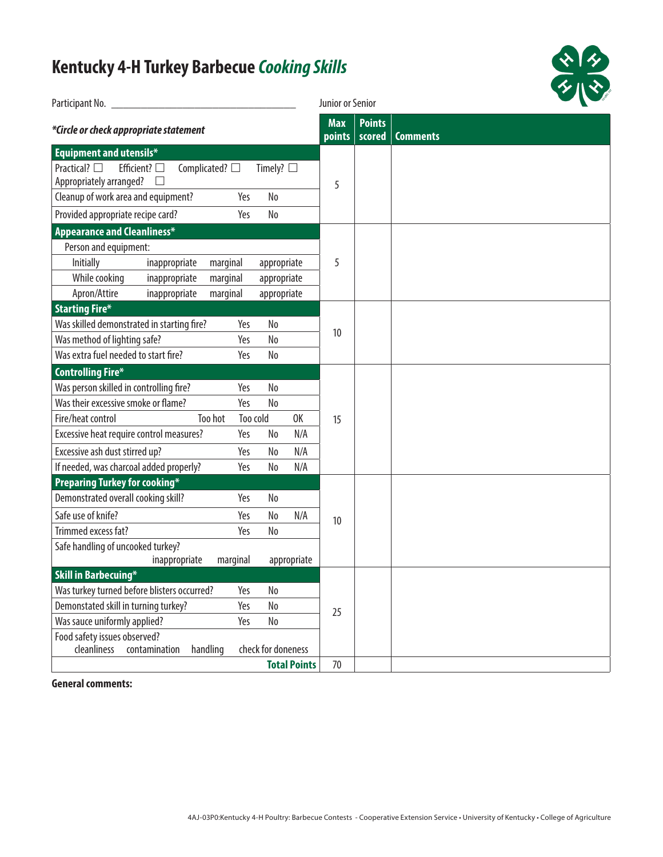## **Kentucky 4-H Turkey Barbecue** *Cooking Skills*

| <b>Kentucky 4-H Turkey Barbecue Cooking Skills</b>                                                                               | ※1夕<br>夕 1 ※2             |                         |                 |
|----------------------------------------------------------------------------------------------------------------------------------|---------------------------|-------------------------|-----------------|
|                                                                                                                                  | Junior or Senior          |                         |                 |
| *Circle or check appropriate statement                                                                                           | <b>Max</b><br>points      | <b>Points</b><br>scored | <b>Comments</b> |
| <b>Equipment and utensils*</b>                                                                                                   |                           |                         |                 |
| Practical? $\square$<br>Efficient? $\square$<br>Complicated? $\square$<br>Timely? $\square$<br>Appropriately arranged?<br>$\Box$ | 5                         |                         |                 |
| Cleanup of work area and equipment?<br>No<br>Yes                                                                                 |                           |                         |                 |
| Provided appropriate recipe card?<br>No<br>Yes                                                                                   |                           |                         |                 |
| <b>Appearance and Cleanliness*</b>                                                                                               |                           |                         |                 |
| Person and equipment:                                                                                                            |                           |                         |                 |
| Initially<br>marginal<br>inappropriate<br>appropriate                                                                            | 5                         |                         |                 |
| While cooking<br>inappropriate<br>marginal<br>appropriate                                                                        |                           |                         |                 |
| Apron/Attire<br>inappropriate<br>marginal<br>appropriate                                                                         |                           |                         |                 |
| <b>Starting Fire*</b>                                                                                                            |                           |                         |                 |
| Was skilled demonstrated in starting fire?<br>Yes<br>No                                                                          | 10                        |                         |                 |
| Was method of lighting safe?<br>Yes<br>No                                                                                        |                           |                         |                 |
| Was extra fuel needed to start fire?<br>Yes<br>No                                                                                |                           |                         |                 |
| <b>Controlling Fire*</b>                                                                                                         |                           |                         |                 |
| Was person skilled in controlling fire?<br>N <sub>0</sub><br>Yes                                                                 |                           |                         |                 |
| Was their excessive smoke or flame?<br>Yes<br>N <sub>o</sub>                                                                     |                           |                         |                 |
| Too hot<br>Fire/heat control<br>Too cold                                                                                         | 0K<br>15                  |                         |                 |
| Excessive heat require control measures?<br>Yes<br>No                                                                            | N/A                       |                         |                 |
| Excessive ash dust stirred up?<br>Yes<br>No                                                                                      | N/A                       |                         |                 |
| If needed, was charcoal added properly?<br>Yes<br>No                                                                             | N/A                       |                         |                 |
| <b>Preparing Turkey for cooking*</b>                                                                                             |                           |                         |                 |
| Demonstrated overall cooking skill?<br>Yes<br>No                                                                                 |                           |                         |                 |
| Safe use of knife?<br>Yes<br>No                                                                                                  | N/A<br>10                 |                         |                 |
| Yes<br>Trimmed excess fat?<br>No                                                                                                 |                           |                         |                 |
| Safe handling of uncooked turkey?                                                                                                |                           |                         |                 |
| marginal<br>inappropriate                                                                                                        | appropriate               |                         |                 |
| <b>Skill in Barbecuing*</b>                                                                                                      |                           |                         |                 |
| Was turkey turned before blisters occurred?<br>N <sub>0</sub><br>Yes                                                             |                           |                         |                 |
| Demonstated skill in turning turkey?<br>Yes<br>No                                                                                | 25                        |                         |                 |
| Was sauce uniformly applied?<br>Yes<br>No                                                                                        |                           |                         |                 |
| Food safety issues observed?<br>cleanliness<br>check for doneness<br>contamination<br>handling                                   |                           |                         |                 |
|                                                                                                                                  | <b>Total Points</b><br>70 |                         |                 |

**General comments:**